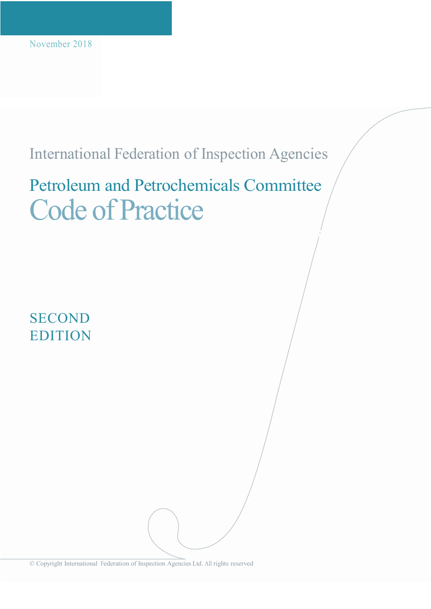# International Federation of Inspection Agencies

# Petroleum and Petrochemicals Committee Code of Practice

**SECOND** EDITION

© Copyright International Federation of Inspection Agencies Ltd. All rights reserved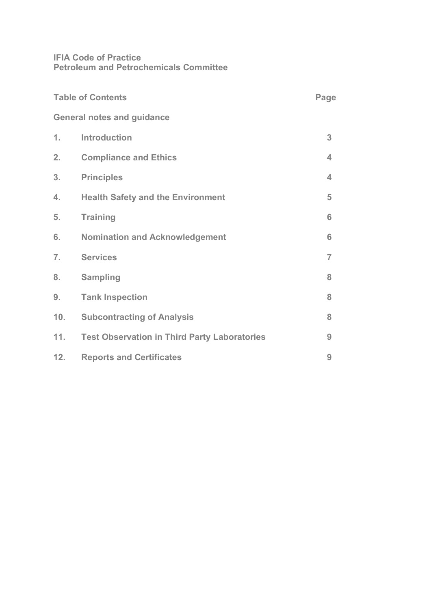# **IFIA Code of Practice Petroleum and Petrochemicals Committee**

| <b>Table of Contents</b> |                                                     | Page           |
|--------------------------|-----------------------------------------------------|----------------|
|                          | <b>General notes and guidance</b>                   |                |
| 1.                       | <b>Introduction</b>                                 | 3              |
| 2.                       | <b>Compliance and Ethics</b>                        | 4              |
| 3.                       | <b>Principles</b>                                   | 4              |
| 4.                       | <b>Health Safety and the Environment</b>            | 5              |
| 5.                       | <b>Training</b>                                     | 6              |
| 6.                       | <b>Nomination and Acknowledgement</b>               | 6              |
| 7.                       | <b>Services</b>                                     | $\overline{7}$ |
| 8.                       | <b>Sampling</b>                                     | 8              |
| 9.                       | <b>Tank Inspection</b>                              | 8              |
| 10.                      | <b>Subcontracting of Analysis</b>                   | 8              |
| 11.                      | <b>Test Observation in Third Party Laboratories</b> | 9              |
| 12.                      | <b>Reports and Certificates</b>                     | 9              |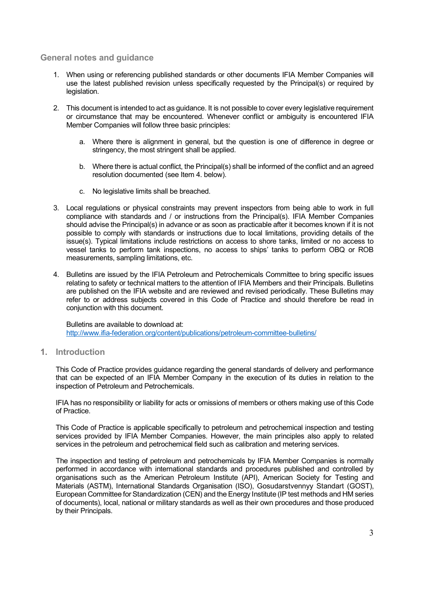#### **General notes and guidance**

- 1. When using or referencing published standards or other documents IFIA Member Companies will use the latest published revision unless specifically requested by the Principal(s) or required by legislation.
- 2. This document is intended to act as guidance. It is not possible to cover every legislative requirement or circumstance that may be encountered. Whenever conflict or ambiguity is encountered IFIA Member Companies will follow three basic principles:
	- a. Where there is alignment in general, but the question is one of difference in degree or stringency, the most stringent shall be applied.
	- b. Where there is actual conflict, the Principal(s) shall be informed of the conflict and an agreed resolution documented (see Item 4. below).
	- c. No legislative limits shall be breached.
- 3. Local regulations or physical constraints may prevent inspectors from being able to work in full compliance with standards and / or instructions from the Principal(s). IFIA Member Companies should advise the Principal(s) in advance or as soon as practicable after it becomes known if it is not possible to comply with standards or instructions due to local limitations, providing details of the issue(s). Typical limitations include restrictions on access to shore tanks, limited or no access to vessel tanks to perform tank inspections, no access to ships' tanks to perform OBQ or ROB measurements, sampling limitations, etc.
- 4. Bulletins are issued by the IFIA Petroleum and Petrochemicals Committee to bring specific issues relating to safety or technical matters to the attention of IFIA Members and their Principals. Bulletins are published on the IFIA website and are reviewed and revised periodically. These Bulletins may refer to or address subjects covered in this Code of Practice and should therefore be read in conjunction with this document.

Bulletins are available to download at: http://www.ifia-federation.org/content/publications/petroleum-committee-bulletins/

**1. Introduction**

This Code of Practice provides guidance regarding the general standards of delivery and performance that can be expected of an IFIA Member Company in the execution of its duties in relation to the inspection of Petroleum and Petrochemicals.

IFIA has no responsibility or liability for acts or omissions of members or others making use of this Code of Practice.

This Code of Practice is applicable specifically to petroleum and petrochemical inspection and testing services provided by IFIA Member Companies. However, the main principles also apply to related services in the petroleum and petrochemical field such as calibration and metering services.

The inspection and testing of petroleum and petrochemicals by IFIA Member Companies is normally performed in accordance with international standards and procedures published and controlled by organisations such as the American Petroleum Institute (API), American Society for Testing and Materials (ASTM), International Standards Organisation (ISO), Gosudarstvennyy Standart (GOST), European Committee for Standardization (CEN) and the Energy Institute (IP test methods and HM series of documents), local, national or military standards as well as their own procedures and those produced by their Principals.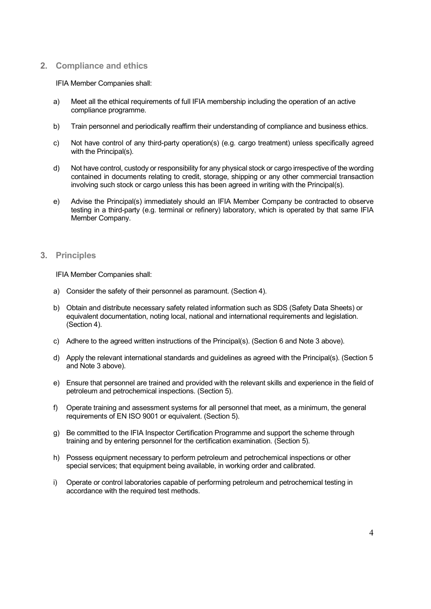# **2. Compliance and ethics**

#### IFIA Member Companies shall:

- a) Meet all the ethical requirements of full IFIA membership including the operation of an active compliance programme.
- b) Train personnel and periodically reaffirm their understanding of compliance and business ethics.
- c) Not have control of any third-party operation(s) (e.g. cargo treatment) unless specifically agreed with the Principal(s).
- d) Not have control, custody or responsibility for any physical stock or cargo irrespective of the wording contained in documents relating to credit, storage, shipping or any other commercial transaction involving such stock or cargo unless this has been agreed in writing with the Principal(s).
- e) Advise the Principal(s) immediately should an IFIA Member Company be contracted to observe testing in a third-party (e.g. terminal or refinery) laboratory, which is operated by that same IFIA Member Company.

#### **3. Principles**

IFIA Member Companies shall:

- a) Consider the safety of their personnel as paramount. (Section 4).
- b) Obtain and distribute necessary safety related information such as SDS (Safety Data Sheets) or equivalent documentation, noting local, national and international requirements and legislation. (Section 4).
- c) Adhere to the agreed written instructions of the Principal(s). (Section 6 and Note 3 above).
- d) Apply the relevant international standards and guidelines as agreed with the Principal(s). (Section 5 and Note 3 above).
- e) Ensure that personnel are trained and provided with the relevant skills and experience in the field of petroleum and petrochemical inspections. (Section 5).
- f) Operate training and assessment systems for all personnel that meet, as a minimum, the general requirements of EN ISO 9001 or equivalent. (Section 5).
- g) Be committed to the IFIA Inspector Certification Programme and support the scheme through training and by entering personnel for the certification examination. (Section 5).
- h) Possess equipment necessary to perform petroleum and petrochemical inspections or other special services; that equipment being available, in working order and calibrated.
- i) Operate or control laboratories capable of performing petroleum and petrochemical testing in accordance with the required test methods.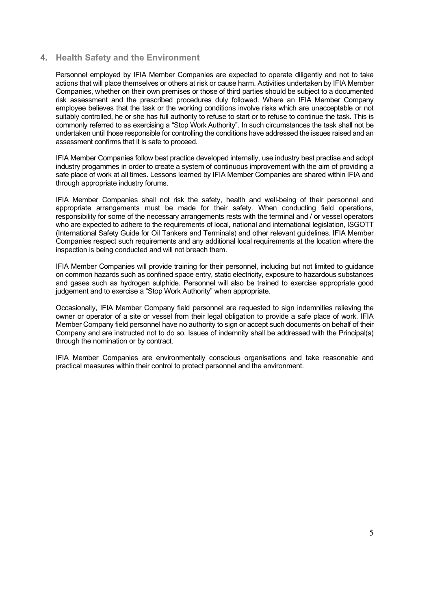#### **4. Health Safety and the Environment**

Personnel employed by IFIA Member Companies are expected to operate diligently and not to take actions that will place themselves or others at risk or cause harm. Activities undertaken by IFIA Member Companies, whether on their own premises or those of third parties should be subject to a documented risk assessment and the prescribed procedures duly followed. Where an IFIA Member Company employee believes that the task or the working conditions involve risks which are unacceptable or not suitably controlled, he or she has full authority to refuse to start or to refuse to continue the task. This is commonly referred to as exercising a "Stop Work Authority". In such circumstances the task shall not be undertaken until those responsible for controlling the conditions have addressed the issues raised and an assessment confirms that it is safe to proceed.

IFIA Member Companies follow best practice developed internally, use industry best practise and adopt industry progammes in order to create a system of continuous improvement with the aim of providing a safe place of work at all times. Lessons learned by IFIA Member Companies are shared within IFIA and through appropriate industry forums.

IFIA Member Companies shall not risk the safety, health and well-being of their personnel and appropriate arrangements must be made for their safety. When conducting field operations, responsibility for some of the necessary arrangements rests with the terminal and / or vessel operators who are expected to adhere to the requirements of local, national and international legislation, ISGOTT (International Safety Guide for Oil Tankers and Terminals) and other relevant guidelines. IFIA Member Companies respect such requirements and any additional local requirements at the location where the inspection is being conducted and will not breach them.

IFIA Member Companies will provide training for their personnel, including but not limited to guidance on common hazards such as confined space entry, static electricity, exposure to hazardous substances and gases such as hydrogen sulphide. Personnel will also be trained to exercise appropriate good judgement and to exercise a "Stop Work Authority" when appropriate.

Occasionally, IFIA Member Company field personnel are requested to sign indemnities relieving the owner or operator of a site or vessel from their legal obligation to provide a safe place of work. IFIA Member Company field personnel have no authority to sign or accept such documents on behalf of their Company and are instructed not to do so. Issues of indemnity shall be addressed with the Principal(s) through the nomination or by contract.

IFIA Member Companies are environmentally conscious organisations and take reasonable and practical measures within their control to protect personnel and the environment.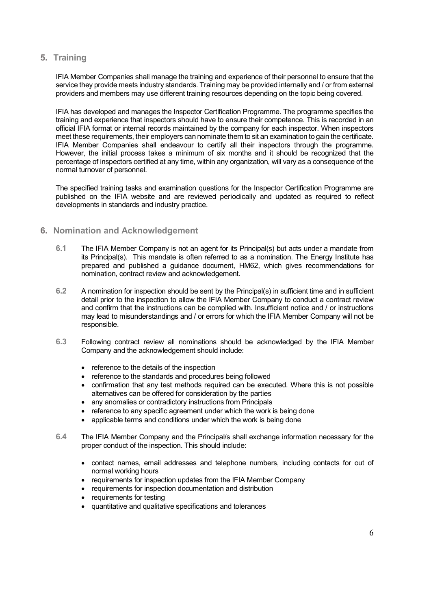# **5. Training**

IFIA Member Companies shall manage the training and experience of their personnel to ensure that the service they provide meets industry standards. Training may be provided internally and / or from external providers and members may use different training resources depending on the topic being covered.

IFIA has developed and manages the Inspector Certification Programme. The programme specifies the training and experience that inspectors should have to ensure their competence. This is recorded in an official IFIA format or internal records maintained by the company for each inspector. When inspectors meet these requirements, their employers can nominate them to sit an examination to gain the certificate. IFIA Member Companies shall endeavour to certify all their inspectors through the programme. However, the initial process takes a minimum of six months and it should be recognized that the percentage of inspectors certified at any time, within any organization, will vary as a consequence of the normal turnover of personnel.

The specified training tasks and examination questions for the Inspector Certification Programme are published on the IFIA website and are reviewed periodically and updated as required to reflect developments in standards and industry practice.

# **6. Nomination and Acknowledgement**

- **6.1** The IFIA Member Company is not an agent for its Principal(s) but acts under a mandate from its Principal(s). This mandate is often referred to as a nomination. The Energy Institute has prepared and published a guidance document, HM62, which gives recommendations for nomination, contract review and acknowledgement.
- **6.2** A nomination for inspection should be sent by the Principal(s) in sufficient time and in sufficient detail prior to the inspection to allow the IFIA Member Company to conduct a contract review and confirm that the instructions can be complied with. Insufficient notice and / or instructions may lead to misunderstandings and / or errors for which the IFIA Member Company will not be responsible.
- **6.3** Following contract review all nominations should be acknowledged by the IFIA Member Company and the acknowledgement should include:
	- reference to the details of the inspection
	- reference to the standards and procedures being followed
	- confirmation that any test methods required can be executed. Where this is not possible alternatives can be offered for consideration by the parties
	- any anomalies or contradictory instructions from Principals
	- reference to any specific agreement under which the work is being done
	- applicable terms and conditions under which the work is being done
- **6.4** The IFIA Member Company and the Principal/s shall exchange information necessary for the proper conduct of the inspection. This should include:
	- contact names, email addresses and telephone numbers, including contacts for out of normal working hours
	- requirements for inspection updates from the IFIA Member Company
	- requirements for inspection documentation and distribution
	- requirements for testing
	- quantitative and qualitative specifications and tolerances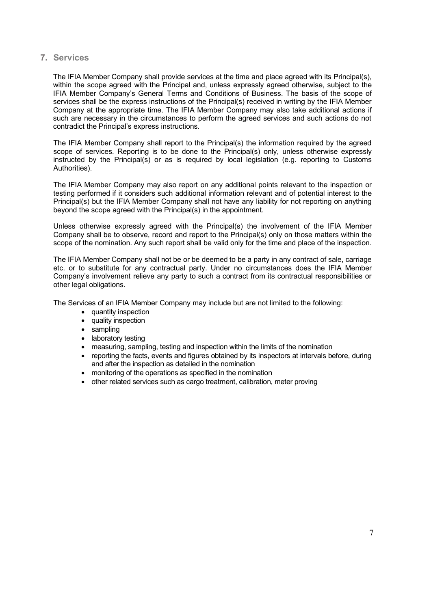# **7. Services**

The IFIA Member Company shall provide services at the time and place agreed with its Principal(s), within the scope agreed with the Principal and, unless expressly agreed otherwise, subject to the IFIA Member Company's General Terms and Conditions of Business. The basis of the scope of services shall be the express instructions of the Principal(s) received in writing by the IFIA Member Company at the appropriate time. The IFIA Member Company may also take additional actions if such are necessary in the circumstances to perform the agreed services and such actions do not contradict the Principal's express instructions.

The IFIA Member Company shall report to the Principal(s) the information required by the agreed scope of services. Reporting is to be done to the Principal(s) only, unless otherwise expressly instructed by the Principal(s) or as is required by local legislation (e.g. reporting to Customs Authorities).

The IFIA Member Company may also report on any additional points relevant to the inspection or testing performed if it considers such additional information relevant and of potential interest to the Principal(s) but the IFIA Member Company shall not have any liability for not reporting on anything beyond the scope agreed with the Principal(s) in the appointment.

Unless otherwise expressly agreed with the Principal(s) the involvement of the IFIA Member Company shall be to observe, record and report to the Principal(s) only on those matters within the scope of the nomination. Any such report shall be valid only for the time and place of the inspection.

The IFIA Member Company shall not be or be deemed to be a party in any contract of sale, carriage etc. or to substitute for any contractual party. Under no circumstances does the IFIA Member Company's involvement relieve any party to such a contract from its contractual responsibilities or other legal obligations.

The Services of an IFIA Member Company may include but are not limited to the following:

- quantity inspection
- quality inspection
- sampling
- laboratory testing
- measuring, sampling, testing and inspection within the limits of the nomination
- reporting the facts, events and figures obtained by its inspectors at intervals before, during and after the inspection as detailed in the nomination
- monitoring of the operations as specified in the nomination
- other related services such as cargo treatment, calibration, meter proving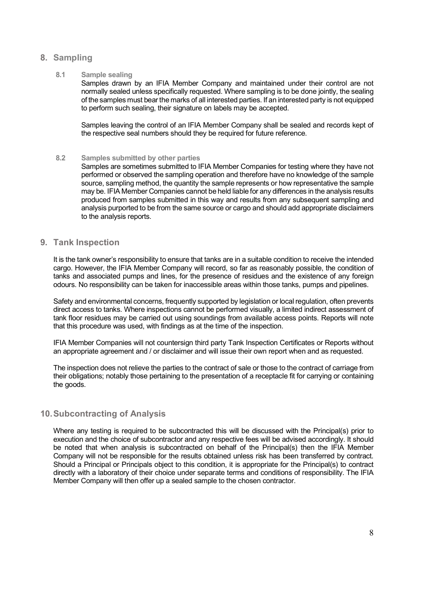# **8. Sampling**

#### **8.1 Sample sealing**

Samples drawn by an IFIA Member Company and maintained under their control are not normally sealed unless specifically requested. Where sampling is to be done jointly, the sealing of the samples must bear the marks of all interested parties. If an interested party is not equipped to perform such sealing, their signature on labels may be accepted.

Samples leaving the control of an IFIA Member Company shall be sealed and records kept of the respective seal numbers should they be required for future reference.

#### **8.2 Samples submitted by other parties**

Samples are sometimes submitted to IFIA Member Companies for testing where they have not performed or observed the sampling operation and therefore have no knowledge of the sample source, sampling method, the quantity the sample represents or how representative the sample may be. IFIA Member Companies cannot be held liable for any differences in the analysis results produced from samples submitted in this way and results from any subsequent sampling and analysis purported to be from the same source or cargo and should add appropriate disclaimers to the analysis reports.

#### **9. Tank Inspection**

It is the tank owner's responsibility to ensure that tanks are in a suitable condition to receive the intended cargo. However, the IFIA Member Company will record, so far as reasonably possible, the condition of tanks and associated pumps and lines, for the presence of residues and the existence of any foreign odours. No responsibility can be taken for inaccessible areas within those tanks, pumps and pipelines.

Safety and environmental concerns, frequently supported by legislation or local regulation, often prevents direct access to tanks. Where inspections cannot be performed visually, a limited indirect assessment of tank floor residues may be carried out using soundings from available access points. Reports will note that this procedure was used, with findings as at the time of the inspection.

IFIA Member Companies will not countersign third party Tank Inspection Certificates or Reports without an appropriate agreement and / or disclaimer and will issue their own report when and as requested.

The inspection does not relieve the parties to the contract of sale or those to the contract of carriage from their obligations; notably those pertaining to the presentation of a receptacle fit for carrying or containing the goods.

#### **10.Subcontracting of Analysis**

Where any testing is required to be subcontracted this will be discussed with the Principal(s) prior to execution and the choice of subcontractor and any respective fees will be advised accordingly. It should be noted that when analysis is subcontracted on behalf of the Principal(s) then the IFIA Member Company will not be responsible for the results obtained unless risk has been transferred by contract. Should a Principal or Principals object to this condition, it is appropriate for the Principal(s) to contract directly with a laboratory of their choice under separate terms and conditions of responsibility. The IFIA Member Company will then offer up a sealed sample to the chosen contractor.